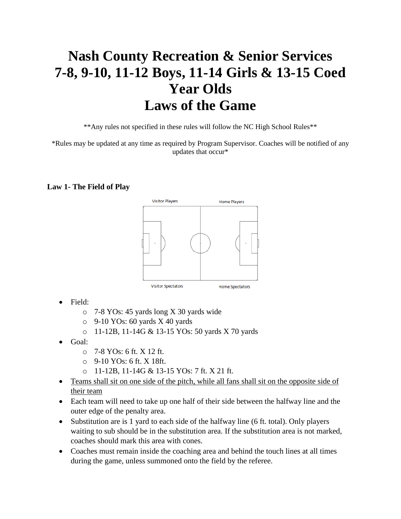# **Nash County Recreation & Senior Services 7-8, 9-10, 11-12 Boys, 11-14 Girls & 13-15 Coed Year Olds Laws of the Game**

\*\*Any rules not specified in these rules will follow the NC High School Rules\*\*

\*Rules may be updated at any time as required by Program Supervisor. Coaches will be notified of any updates that occur\*

#### **Law 1- The Field of Play**



- Field:
	- o 7-8 YOs: 45 yards long X 30 yards wide
	- $\circ$  9-10 YOs: 60 yards X 40 yards
	- o 11-12B, 11-14G & 13-15 YOs: 50 yards X 70 yards
- Goal:
	- $\circ$  7-8 YOs: 6 ft. X 12 ft.
	- $O$  9-10 YOs: 6 ft. X 18ft.
	- o 11-12B, 11-14G & 13-15 YOs: 7 ft. X 21 ft.
- Teams shall sit on one side of the pitch, while all fans shall sit on the opposite side of their team
- Each team will need to take up one half of their side between the halfway line and the outer edge of the penalty area.
- Substitution are is 1 yard to each side of the halfway line (6 ft. total). Only players waiting to sub should be in the substitution area. If the substitution area is not marked, coaches should mark this area with cones.
- Coaches must remain inside the coaching area and behind the touch lines at all times during the game, unless summoned onto the field by the referee.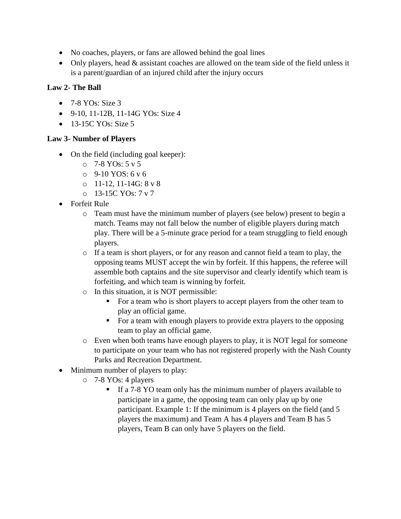- No coaches, players, or fans are allowed behind the goal lines
- Only players, head & assistant coaches are allowed on the team side of the field unless it is a parent/guardian of an injured child after the injury occurs

## **Law 2- The Ball**

- $\bullet$  7-8 YOs: Size 3
- 9-10, 11-12B, 11-14G YOs: Size 4
- 13-15C YOs: Size 5

### **Law 3- Number of Players**

- On the field (including goal keeper):
	- $O<sub>2</sub>$  7-8 YOs: 5 v 5
	- $O_9 9 10$  YOS: 6 v 6
	- o 11-12, 11-14G: 8 v 8
	- o 13-15C YOs: 7 v 7
- Forfeit Rule
	- o Team must have the minimum number of players (see below) present to begin a match. Teams may not fall below the number of eligible players during match play. There will be a 5-minute grace period for a team struggling to field enough players.
	- o If a team is short players, or for any reason and cannot field a team to play, the opposing teams MUST accept the win by forfeit. If this happens, the referee will assemble both captains and the site supervisor and clearly identify which team is forfeiting, and which team is winning by forfeit.
	- o In this situation, it is NOT permissible:
		- For a team who is short players to accept players from the other team to play an official game.
		- For a team with enough players to provide extra players to the opposing team to play an official game.
	- $\circ$  Even when both teams have enough players to play, it is NOT legal for someone to participate on your team who has not registered properly with the Nash County Parks and Recreation Department.
- Minimum number of players to play:
	- o 7-8 YOs: 4 players
		- If a 7-8 YO team only has the minimum number of players available to participate in a game, the opposing team can only play up by one participant. Example 1: If the minimum is 4 players on the field (and 5 players the maximum) and Team A has 4 players and Team B has 5 players, Team B can only have 5 players on the field.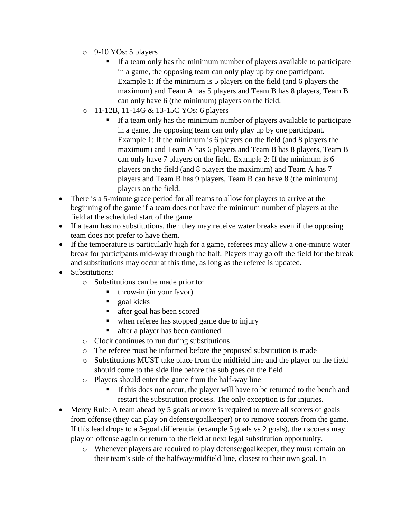- o 9-10 YOs: 5 players
	- If a team only has the minimum number of players available to participate in a game, the opposing team can only play up by one participant. Example 1: If the minimum is 5 players on the field (and 6 players the maximum) and Team A has 5 players and Team B has 8 players, Team B can only have 6 (the minimum) players on the field.
- o 11-12B, 11-14G & 13-15C YOs: 6 players
	- If a team only has the minimum number of players available to participate in a game, the opposing team can only play up by one participant. Example 1: If the minimum is 6 players on the field (and 8 players the maximum) and Team A has 6 players and Team B has 8 players, Team B can only have 7 players on the field. Example 2: If the minimum is 6 players on the field (and 8 players the maximum) and Team A has 7 players and Team B has 9 players, Team B can have 8 (the minimum) players on the field.
- There is a 5-minute grace period for all teams to allow for players to arrive at the beginning of the game if a team does not have the minimum number of players at the field at the scheduled start of the game
- If a team has no substitutions, then they may receive water breaks even if the opposing team does not prefer to have them.
- If the temperature is particularly high for a game, referees may allow a one-minute water break for participants mid-way through the half. Players may go off the field for the break and substitutions may occur at this time, as long as the referee is updated.
- Substitutions:
	- $\theta$  Substitutions can be made prior to:
		- $\bullet$  throw-in (in your favor)
		- goal kicks
		- after goal has been scored
		- when referee has stopped game due to injury
		- after a player has been cautioned
	- o Clock continues to run during substitutions
	- o The referee must be informed before the proposed substitution is made
	- o Substitutions MUST take place from the midfield line and the player on the field should come to the side line before the sub goes on the field
	- o Players should enter the game from the half-way line
		- If this does not occur, the player will have to be returned to the bench and restart the substitution process. The only exception is for injuries.
- Mercy Rule: A team ahead by 5 goals or more is required to move all scorers of goals from offense (they can play on defense/goalkeeper) or to remove scorers from the game. If this lead drops to a 3-goal differential (example 5 goals vs 2 goals), then scorers may play on offense again or return to the field at next legal substitution opportunity.
	- o Whenever players are required to play defense/goalkeeper, they must remain on their team's side of the halfway/midfield line, closest to their own goal. In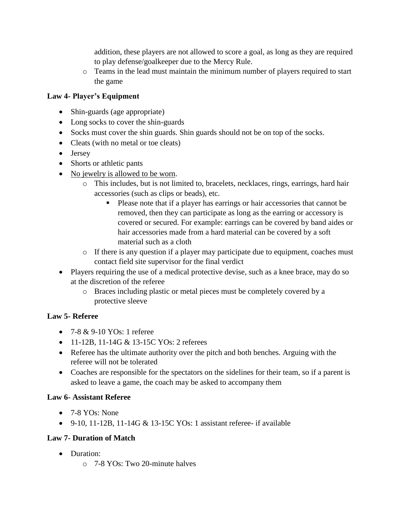addition, these players are not allowed to score a goal, as long as they are required to play defense/goalkeeper due to the Mercy Rule.

o Teams in the lead must maintain the minimum number of players required to start the game

## **Law 4- Player's Equipment**

- Shin-guards (age appropriate)
- Long socks to cover the shin-guards
- Socks must cover the shin guards. Shin guards should not be on top of the socks.
- Cleats (with no metal or toe cleats)
- Jersey
- Shorts or athletic pants
- No jewelry is allowed to be worn.
	- o This includes, but is not limited to, bracelets, necklaces, rings, earrings, hard hair accessories (such as clips or beads), etc.
		- Please note that if a player has earrings or hair accessories that cannot be removed, then they can participate as long as the earring or accessory is covered or secured. For example: earrings can be covered by band aides or hair accessories made from a hard material can be covered by a soft material such as a cloth
	- o If there is any question if a player may participate due to equipment, coaches must contact field site supervisor for the final verdict
- Players requiring the use of a medical protective devise, such as a knee brace, may do so at the discretion of the referee
	- o Braces including plastic or metal pieces must be completely covered by a protective sleeve

### **Law 5- Referee**

- 7-8 & 9-10 YOs: 1 referee
- 11-12B, 11-14G & 13-15C YOs: 2 referees
- Referee has the ultimate authority over the pitch and both benches. Arguing with the referee will not be tolerated
- Coaches are responsible for the spectators on the sidelines for their team, so if a parent is asked to leave a game, the coach may be asked to accompany them

### **Law 6- Assistant Referee**

- $\bullet$  7-8 YOs: None
- 9-10, 11-12B, 11-14G  $&$  13-15C YOs: 1 assistant referee- if available

### **Law 7- Duration of Match**

- Duration:
	- o 7-8 YOs: Two 20-minute halves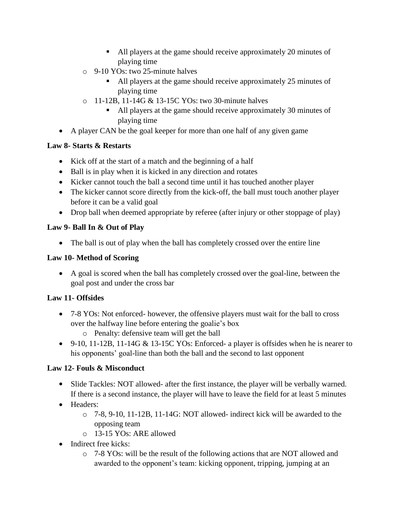- All players at the game should receive approximately 20 minutes of playing time
- o 9-10 YOs: two 25-minute halves
	- All players at the game should receive approximately 25 minutes of playing time
- o 11-12B, 11-14G & 13-15C YOs: two 30-minute halves
	- All players at the game should receive approximately 30 minutes of playing time
- A player CAN be the goal keeper for more than one half of any given game

## **Law 8- Starts & Restarts**

- Kick off at the start of a match and the beginning of a half
- Ball is in play when it is kicked in any direction and rotates
- Kicker cannot touch the ball a second time until it has touched another player
- The kicker cannot score directly from the kick-off, the ball must touch another player before it can be a valid goal
- Drop ball when deemed appropriate by referee (after injury or other stoppage of play)

## **Law 9- Ball In & Out of Play**

• The ball is out of play when the ball has completely crossed over the entire line

## **Law 10- Method of Scoring**

• A goal is scored when the ball has completely crossed over the goal-line, between the goal post and under the cross bar

## **Law 11- Offsides**

- 7-8 YOs: Not enforced- however, the offensive players must wait for the ball to cross over the halfway line before entering the goalie's box
	- o Penalty: defensive team will get the ball
- 9-10, 11-12B, 11-14G  $&$  13-15C YOs: Enforced- a player is offsides when he is nearer to his opponents' goal-line than both the ball and the second to last opponent

## **Law 12- Fouls & Misconduct**

- Slide Tackles: NOT allowed- after the first instance, the player will be verbally warned. If there is a second instance, the player will have to leave the field for at least 5 minutes
- Headers:
	- o 7-8, 9-10, 11-12B, 11-14G: NOT allowed- indirect kick will be awarded to the opposing team
	- o 13-15 YOs: ARE allowed
- Indirect free kicks:
	- o 7-8 YOs: will be the result of the following actions that are NOT allowed and awarded to the opponent's team: kicking opponent, tripping, jumping at an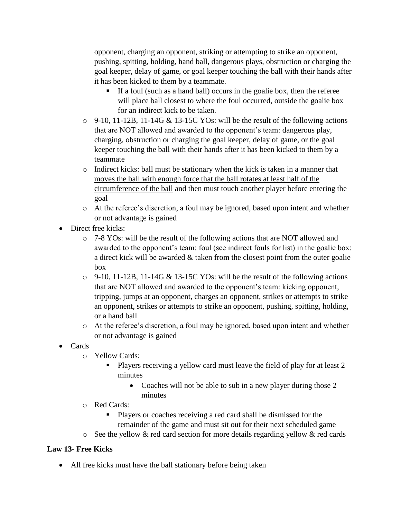opponent, charging an opponent, striking or attempting to strike an opponent, pushing, spitting, holding, hand ball, dangerous plays, obstruction or charging the goal keeper, delay of game, or goal keeper touching the ball with their hands after it has been kicked to them by a teammate.

- If a foul (such as a hand ball) occurs in the goalie box, then the referee will place ball closest to where the foul occurred, outside the goalie box for an indirect kick to be taken.
- $\circ$  9-10, 11-12B, 11-14G & 13-15C YOs: will be the result of the following actions that are NOT allowed and awarded to the opponent's team: dangerous play, charging, obstruction or charging the goal keeper, delay of game, or the goal keeper touching the ball with their hands after it has been kicked to them by a teammate
- o Indirect kicks: ball must be stationary when the kick is taken in a manner that moves the ball with enough force that the ball rotates at least half of the circumference of the ball and then must touch another player before entering the goal
- o At the referee's discretion, a foul may be ignored, based upon intent and whether or not advantage is gained
- Direct free kicks:
	- o 7-8 YOs: will be the result of the following actions that are NOT allowed and awarded to the opponent's team: foul (see indirect fouls for list) in the goalie box: a direct kick will be awarded  $&$  taken from the closest point from the outer goalie box
	- $\circ$  9-10, 11-12B, 11-14G & 13-15C YOs: will be the result of the following actions that are NOT allowed and awarded to the opponent's team: kicking opponent, tripping, jumps at an opponent, charges an opponent, strikes or attempts to strike an opponent, strikes or attempts to strike an opponent, pushing, spitting, holding, or a hand ball
	- o At the referee's discretion, a foul may be ignored, based upon intent and whether or not advantage is gained
- Cards
	- o Yellow Cards:
		- Players receiving a yellow card must leave the field of play for at least 2 minutes
			- Coaches will not be able to sub in a new player during those 2 minutes
	- o Red Cards:
		- Players or coaches receiving a red card shall be dismissed for the remainder of the game and must sit out for their next scheduled game
	- o See the yellow & red card section for more details regarding yellow & red cards

## **Law 13- Free Kicks**

• All free kicks must have the ball stationary before being taken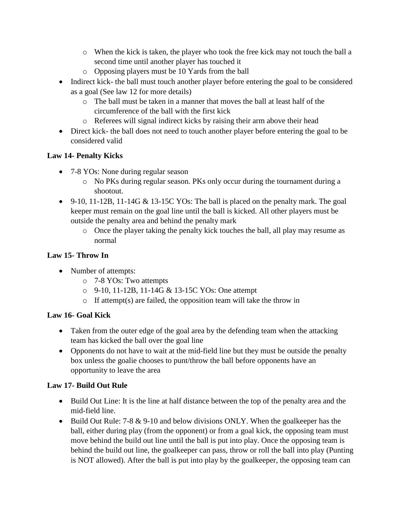- o When the kick is taken, the player who took the free kick may not touch the ball a second time until another player has touched it
- o Opposing players must be 10 Yards from the ball
- Indirect kick- the ball must touch another player before entering the goal to be considered as a goal (See law 12 for more details)
	- o The ball must be taken in a manner that moves the ball at least half of the circumference of the ball with the first kick
	- o Referees will signal indirect kicks by raising their arm above their head
- Direct kick- the ball does not need to touch another player before entering the goal to be considered valid

## **Law 14- Penalty Kicks**

- 7-8 YOs: None during regular season
	- o No PKs during regular season. PKs only occur during the tournament during a shootout.
- 9-10, 11-12B, 11-14G  $&$  13-15C YOs: The ball is placed on the penalty mark. The goal keeper must remain on the goal line until the ball is kicked. All other players must be outside the penalty area and behind the penalty mark
	- o Once the player taking the penalty kick touches the ball, all play may resume as normal

## **Law 15- Throw In**

- Number of attempts:
	- o 7-8 YOs: Two attempts
	- o 9-10, 11-12B, 11-14G & 13-15C YOs: One attempt
	- $\circ$  If attempt(s) are failed, the opposition team will take the throw in

## **Law 16- Goal Kick**

- Taken from the outer edge of the goal area by the defending team when the attacking team has kicked the ball over the goal line
- Opponents do not have to wait at the mid-field line but they must be outside the penalty box unless the goalie chooses to punt/throw the ball before opponents have an opportunity to leave the area

### **Law 17- Build Out Rule**

- Build Out Line: It is the line at half distance between the top of the penalty area and the mid-field line.
- Build Out Rule: 7-8 & 9-10 and below divisions ONLY. When the goalkeeper has the ball, either during play (from the opponent) or from a goal kick, the opposing team must move behind the build out line until the ball is put into play. Once the opposing team is behind the build out line, the goalkeeper can pass, throw or roll the ball into play (Punting is NOT allowed). After the ball is put into play by the goalkeeper, the opposing team can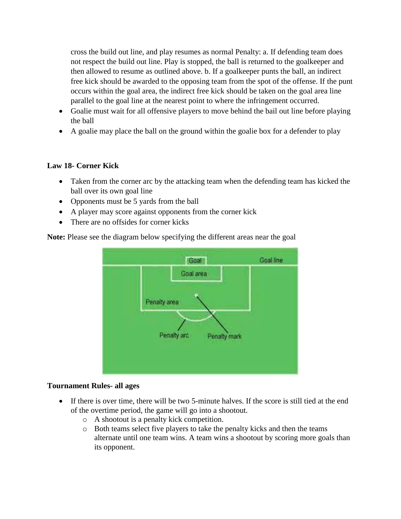cross the build out line, and play resumes as normal Penalty: a. If defending team does not respect the build out line. Play is stopped, the ball is returned to the goalkeeper and then allowed to resume as outlined above. b. If a goalkeeper punts the ball, an indirect free kick should be awarded to the opposing team from the spot of the offense. If the punt occurs within the goal area, the indirect free kick should be taken on the goal area line parallel to the goal line at the nearest point to where the infringement occurred.

- Goalie must wait for all offensive players to move behind the bail out line before playing the ball
- A goalie may place the ball on the ground within the goalie box for a defender to play

### **Law 18- Corner Kick**

- Taken from the corner arc by the attacking team when the defending team has kicked the ball over its own goal line
- Opponents must be 5 yards from the ball
- A player may score against opponents from the corner kick
- There are no offsides for corner kicks

**Note:** Please see the diagram below specifying the different areas near the goal



#### **Tournament Rules- all ages**

- If there is over time, there will be two 5-minute halves. If the score is still tied at the end of the overtime period, the game will go into a shootout.
	- o A shootout is a penalty kick competition.
	- o Both teams select five players to take the penalty kicks and then the teams alternate until one team wins. A team wins a shootout by scoring more goals than its opponent.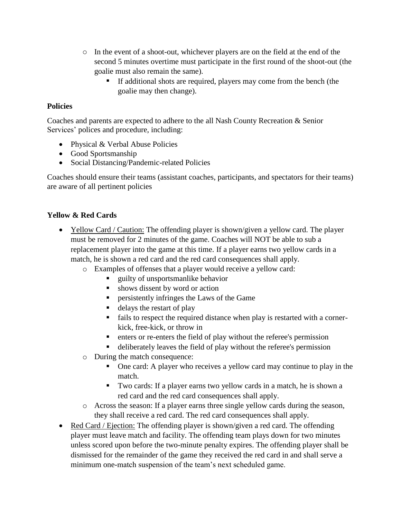- o In the event of a shoot-out, whichever players are on the field at the end of the second 5 minutes overtime must participate in the first round of the shoot-out (the goalie must also remain the same).
	- If additional shots are required, players may come from the bench (the goalie may then change).

### **Policies**

Coaches and parents are expected to adhere to the all Nash County Recreation & Senior Services' polices and procedure, including:

- Physical & Verbal Abuse Policies
- Good Sportsmanship
- Social Distancing/Pandemic-related Policies

Coaches should ensure their teams (assistant coaches, participants, and spectators for their teams) are aware of all pertinent policies

## **Yellow & Red Cards**

- Yellow Card / Caution: The offending player is shown/given a yellow card. The player must be removed for 2 minutes of the game. Coaches will NOT be able to sub a replacement player into the game at this time. If a player earns two yellow cards in a match, he is shown a red card and the red card consequences shall apply.
	- o Examples of offenses that a player would receive a yellow card:
		- guilty of unsportsmanlike behavior
		- shows dissent by word or action
		- **Exercise 1** persistently infringes the Laws of the Game
		- $\blacksquare$  delays the restart of play
		- fails to respect the required distance when play is restarted with a cornerkick, free-kick, or throw in
		- enters or re-enters the field of play without the referee's permission
		- deliberately leaves the field of play without the referee's permission
	- o During the match consequence:
		- One card: A player who receives a yellow card may continue to play in the match.
		- Two cards: If a player earns two yellow cards in a match, he is shown a red card and the red card consequences shall apply.
	- o Across the season: If a player earns three single yellow cards during the season, they shall receive a red card. The red card consequences shall apply.
- Red Card / Ejection: The offending player is shown/given a red card. The offending player must leave match and facility. The offending team plays down for two minutes unless scored upon before the two-minute penalty expires. The offending player shall be dismissed for the remainder of the game they received the red card in and shall serve a minimum one-match suspension of the team's next scheduled game.